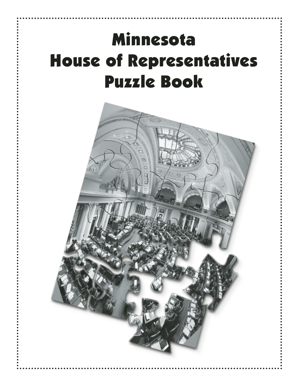# Minnesota House of Representatives Puzzle Book

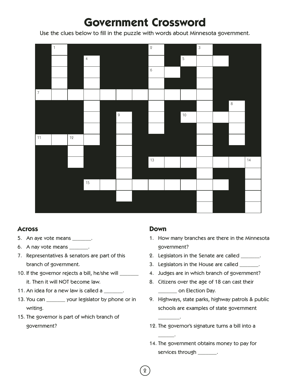# **Government Crossword**

Use the clues below to fill in the puzzle with words about Minnesota government.



### **Across**

- 5. An aye vote means \_\_\_\_\_\_\_.
- 6. A nay vote means \_\_\_\_\_\_\_.
- 7. Representatives & senators are part of this branch of government.
- 10. If the governor rejects a bill, he/she will \_\_\_\_\_\_ it. Then it will NOT become law.
- 11. An idea for a new law is called a \_\_\_\_\_\_\_.
- 13. You can \_\_\_\_\_\_\_ your legislator by phone or in writing.
- 15. The governor is part of which branch of government?

### **Down**

\_\_\_\_\_\_\_\_.

 $\overline{\phantom{a}}$ .

- 1. How many branches are there in the Minnesota government?
- 2. Legislators in the Senate are called  $\qquad \qquad$ .
- 3. Legislators in the House are called \_\_\_\_\_\_\_.
- 4. Judges are in which branch of government?
- 8. Citizens over the age of 18 can cast their \_\_\_\_\_\_\_ on Election Day.
- 9. Highways, state parks, highway patrols & public schools are examples of state government
- 12. The governor's signature turns a bill into a
- 14. The government obtains money to pay for services through \_\_\_\_\_\_\_.
- 2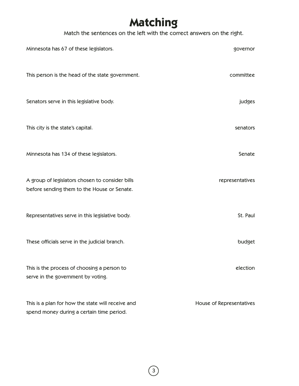# **Matching**

Match the sentences on the left with the correct answers on the right.

| Minnesota has 67 of these legislators.                                                         | governor                 |
|------------------------------------------------------------------------------------------------|--------------------------|
| This person is the head of the state government.                                               | committee                |
| Senators serve in this legislative body.                                                       | judges                   |
| This city is the state's capital.                                                              | senators                 |
| Minnesota has 134 of these legislators.                                                        | Senate                   |
| A group of legislators chosen to consider bills<br>before sending them to the House or Senate. | representatives          |
| Representatives serve in this legislative body.                                                | St. Paul                 |
| These officials serve in the judicial branch.                                                  | budget                   |
| This is the process of choosing a person to<br>serve in the government by voting.              | election                 |
| This is a plan for how the state will receive and<br>spend money during a certain time period. | House of Representatives |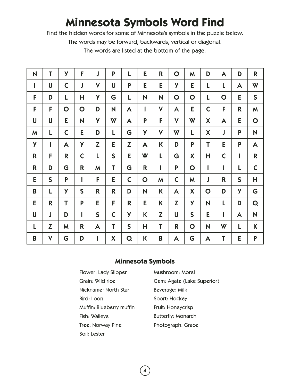# **Minnesota Symbols Word Find**

Find the hidden words for some of Minnesota's symbols in the puzzle below.

The words may be forward, backwards, vertical or diagonal.

The words are listed at the bottom of the page.

| N            | T            | Y            | F            | J            | P            | L            | E           | R            | $\mathbf O$  | M           | D                | A            | D            | R            |
|--------------|--------------|--------------|--------------|--------------|--------------|--------------|-------------|--------------|--------------|-------------|------------------|--------------|--------------|--------------|
| $\mathsf{I}$ | U            | $\mathsf C$  | J            | $\mathsf{V}$ | U            | P            | E           | E            | y            | E           | L                | L            | A            | W            |
| F            | D            | L            | H            | Y            | G            | L            | N           | N            | $\mathbf O$  | $\mathbf O$ | L                | $\mathbf O$  | E            | $\mathsf{S}$ |
| F            | F            | $\mathbf O$  | $\mathbf O$  | D            | N            | A            | I           | $\mathsf{V}$ | A            | E           | $\mathsf C$      | F            | R            | M            |
| U            | U            | E            | N            | y            | W            | A            | P           | F            | $\mathsf{V}$ | W           | $\boldsymbol{X}$ | A            | E            | $\mathbf O$  |
| M            | L            | $\mathsf{C}$ | E            | D            | L            | G            | Y           | V            | W            | L           | $\boldsymbol{X}$ | J            | P            | N            |
| y            | I            | A            | y            | Z            | E            | Z            | A           | К            | D            | P           | T                | E            | P            | A            |
| R            | F            | R            | $\mathsf C$  | L            | S            | E.           | W           | L            | G            | X           | Η                | $\mathsf{C}$ | I            | $\mathsf{R}$ |
| $\mathsf{R}$ | D            | G            | R            | M            | T            | G            | R           | I            | P            | $\mathbf O$ | I                | I            | L            | $\mathsf{C}$ |
| E            | $\mathsf{S}$ | P            | 1            | F            | E            | $\mathsf{C}$ | $\mathbf O$ | M            | $\mathsf{C}$ | M           | J                | R            | $\mathsf{S}$ | Н            |
| B            | L            | y            | $\mathsf{S}$ | R            | R            | D            | N           | K            | A            | X           | $\mathbf O$      | D            | y            | G            |
| E            | R            | T            | P            | E            | F            | R            | E           | K            | Z            | y           | N                | L            | D            | Q            |
| U            | J            | D            | I            | $\mathsf{S}$ | $\mathsf{C}$ | y            | K           | Z            | U            | S           | E                | I            | A            | N            |
| L            | Z            | M            | R            | A            | T            | S            | Н           | T            | R            | $\mathbf O$ | N                | W            | L            | K            |
| B            | $\mathsf{V}$ | G            | D            | I            | X            | Q            | K           | B            | A            | G           | A                | Τ            | E            | P            |

### **Minnesota Symbols**

4

| Flower: Lady Slipper     |
|--------------------------|
| Grain: Wild rice         |
| Nickname: North Star     |
| Bird: Loon               |
| Muffin: Blueberry muffin |
| Fish: Walleye            |
| Tree: Norway Pine        |
| Soil: Lester             |

Mushroom: Morel Gem: Agate (Lake Superior) Beverage: Milk Sport: Hockey Fruit: Honeycrisp Butterfly: Monarch Photograph: Grace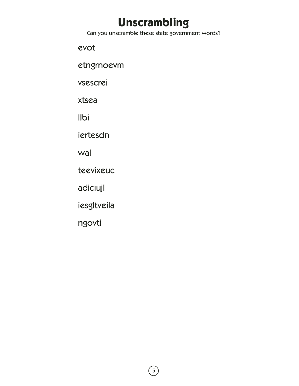# **Unscrambling**

Can you unscramble these state government words?

evot

etngrnoevm

vsescrei

xtsea

Ilbi

iertesdn

wal

teevixeuc

adiciujl

iesgltveila

ngovti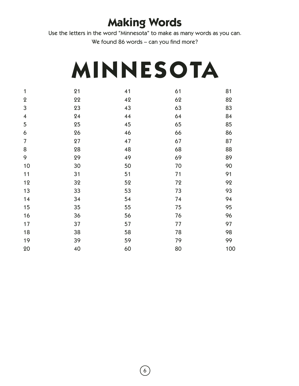# **Making Words**

Use the letters in the word "Minnesota" to make as many words as you can.

We found 86 words – can you find more?

# **MINNESOTA**

| $\mathbf{1}$            | 21 | 41 | 61 | 81  |
|-------------------------|----|----|----|-----|
| $\pmb{2}$               | 22 | 42 | 62 | 82  |
| 3                       | 23 | 43 | 63 | 83  |
| $\overline{\mathbf{4}}$ | 24 | 44 | 64 | 84  |
| 5                       | 25 | 45 | 65 | 85  |
| $\boldsymbol{6}$        | 26 | 46 | 66 | 86  |
| $\overline{7}$          | 27 | 47 | 67 | 87  |
| 8                       | 28 | 48 | 68 | 88  |
| 9                       | 29 | 49 | 69 | 89  |
| 10                      | 30 | 50 | 70 | 90  |
| 11                      | 31 | 51 | 71 | 91  |
| 12                      | 32 | 52 | 72 | 92  |
| 13                      | 33 | 53 | 73 | 93  |
| 14                      | 34 | 54 | 74 | 94  |
| 15                      | 35 | 55 | 75 | 95  |
| 16                      | 36 | 56 | 76 | 96  |
| 17                      | 37 | 57 | 77 | 97  |
| 18                      | 38 | 58 | 78 | 98  |
| 19                      | 39 | 59 | 79 | 99  |
| 20                      | 40 | 60 | 80 | 100 |
|                         |    |    |    |     |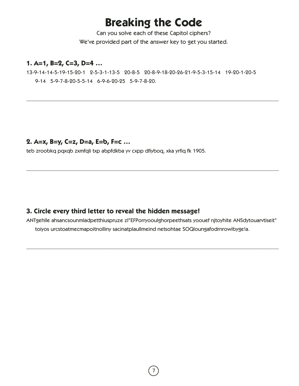# **Breaking the Code**

Can you solve each of these Capitol ciphers? We've provided part of the answer key to get you started.

\_\_\_\_\_\_\_\_\_\_\_\_\_\_\_\_\_\_\_\_\_\_\_\_\_\_\_\_\_\_\_\_\_\_\_\_\_\_\_\_\_\_\_\_\_\_\_\_\_\_\_\_\_\_\_\_\_\_\_\_\_\_\_\_\_\_\_\_\_\_\_\_\_\_\_\_\_\_\_\_\_\_\_\_\_\_\_\_\_\_\_\_\_\_

### **1. A=1, B=2, C=3, D=4 …**

13-9-14-14-5-19-15-20-1 2-5-3-1-13-5 20-8-5 20-8-9-18-20-26-21-9-5-3-15-14 19-20-1-20-5 9-14 5-9-7-8-20-5-5-14 6-9-6-20-25 5-9-7-8-20.

### **2. A=x, B=y, C=z, D=a, E=b, F=c …**

teb zroobkq pqxqb zxmfqli txp abpfdkba yv cxpp dfiyboq, xka yrfiq fk 1905.

### **3. Circle every third letter to reveal the hidden message!**

ANTgehlle ahsancsounmladpetthiuspruze zl"EFPorryoouIghorpeethsats yoouef njtoyhite ANSdytouarvtiseit" toiyos urcstoatmecmapoitnolliny sacinatplaullmeind netsohtae SOQloungafodrnrowibyge!a.

\_\_\_\_\_\_\_\_\_\_\_\_\_\_\_\_\_\_\_\_\_\_\_\_\_\_\_\_\_\_\_\_\_\_\_\_\_\_\_\_\_\_\_\_\_\_\_\_\_\_\_\_\_\_\_\_\_\_\_\_\_\_\_\_\_\_\_\_\_\_\_\_\_\_\_\_\_\_\_\_\_\_\_\_\_\_\_\_\_\_\_\_\_\_

\_\_\_\_\_\_\_\_\_\_\_\_\_\_\_\_\_\_\_\_\_\_\_\_\_\_\_\_\_\_\_\_\_\_\_\_\_\_\_\_\_\_\_\_\_\_\_\_\_\_\_\_\_\_\_\_\_\_\_\_\_\_\_\_\_\_\_\_\_\_\_\_\_\_\_\_\_\_\_\_\_\_\_\_\_\_\_\_\_\_\_\_\_\_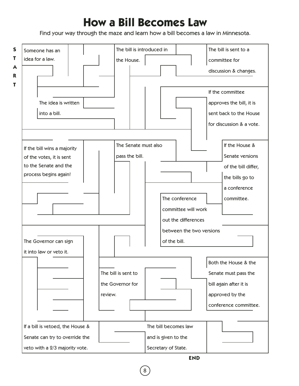# **How a Bill Becomes Law**

Find your way through the maze and learn how a bill becomes a law in Minnesota.



8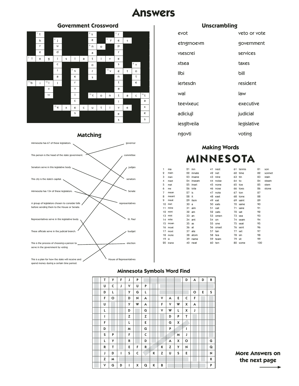## **Answers**

#### **Government Crossword**



#### **Matching**



| veto or vote |
|--------------|
| government   |
| services     |
| taxes        |
| bill         |
| resident     |
| law          |
| executive    |
| judicial     |
| legislative  |
| voting       |
|              |

**Unscrambling**

### **Making Words MINNESOTA**

| 1  | ma      | 21      | inn      | 41 nest  |        | 61 tennis | 81  | son    |
|----|---------|---------|----------|----------|--------|-----------|-----|--------|
| 2  | main    | 22      | innate   | 42 net   |        | 62 time   | 82  | sonnet |
| 3  | man     | 23      | insane   | 43 nine  | 63 tin |           | 83  | stain  |
| 4  | mast    | 24      | inseam   | 44 noise | 64 to  |           | 84  | steam  |
| 5  | mat     |         | 25 inset | 45 none  |        | 65 toe    | 85  | stem   |
| 6  | me      |         | 26 iota  | 46 nose  |        | 66 toes   | 86  | stone  |
| 7  | mean    | $27$ is |          | 47 note  |        | 67 ton    | 87  |        |
| 8  | meant   | 28 it   |          | 48 east  |        | 68 tone   | 88  |        |
| 9  | meat    |         | 29 item  | 49 eat   |        | 69 saint  | 89  |        |
| 10 | met     | 30a     |          | 50 eats  |        | 70 same   | 90  |        |
| 11 | mine    |         | 31 aim   | 51 oat   |        | 71 sane   | 91  |        |
| 12 | mint    |         | $32$ am  | 52 oats  |        | 72 sat    | 92  |        |
|    | 13 mist | $33$ an |          | 53 omen  |        | 73 sea    | 93  |        |
|    | 14 mite |         | 34 ant   | 54 on    |        | 74 seam   | 94  |        |
|    | 15 moan | $35$ as |          | 55 one   |        | 75 seat   | 95  |        |
|    | 16 moat | 36 at   |          | 56 onset |        | 76 sent   | 96  |        |
| 17 | most    |         | 37 ate   | 57 tan   |        | 77 set    | 97  |        |
|    | 18 mote |         | 38 atom  | 58 tea   | 78 sin |           | 98  |        |
| 19 | in      |         | 39 name  | 59 team  | 79 sit |           | 99  |        |
| 20 | inane   |         | 40 neat  | 60 ten   |        | 80 some   | 100 |        |
|    |         |         |          |          |        |           |     |        |

#### **Minnesota Symbols Word Find**

| Т | y       | F | J | P |   |   |   |   |   | D       | A       | D | R |
|---|---------|---|---|---|---|---|---|---|---|---------|---------|---|---|
| U | C       | J | ٧ | U | P |   |   |   |   |         |         |   |   |
| D | L       |   | y | G | L |   |   |   |   |         | $\circ$ | E | S |
| F | $\circ$ |   | D | И | А |   | v | А | E | C       | F       |   |   |
| U |         |   | y | W | А |   | F | v | W | X       | A       |   |   |
| г |         |   | D |   | G |   | ٧ | W | L | X       | J       |   |   |
| I |         |   | z |   | z |   |   | D | P | T       |         |   |   |
| F |         |   | L |   | E |   |   | G | X |         |         |   |   |
| D |         |   | M |   | G |   |   | P |   | ı       |         |   |   |
| S | P       |   | F |   | C |   |   |   | м | J       |         |   |   |
| L | y       |   | R |   | D |   |   | А | Χ | $\circ$ |         |   | G |
| R | T       |   | E | F | R |   | К | z | y | И       |         |   | Q |
| J | D       | ı | S | C |   | К | z | U | S | E       |         |   | N |
| z | м       |   |   |   |   |   |   |   |   |         |         |   | К |
| ٧ | G       | D | г | X | Q | К | B |   |   |         |         |   | P |

**More Answers on the next page**